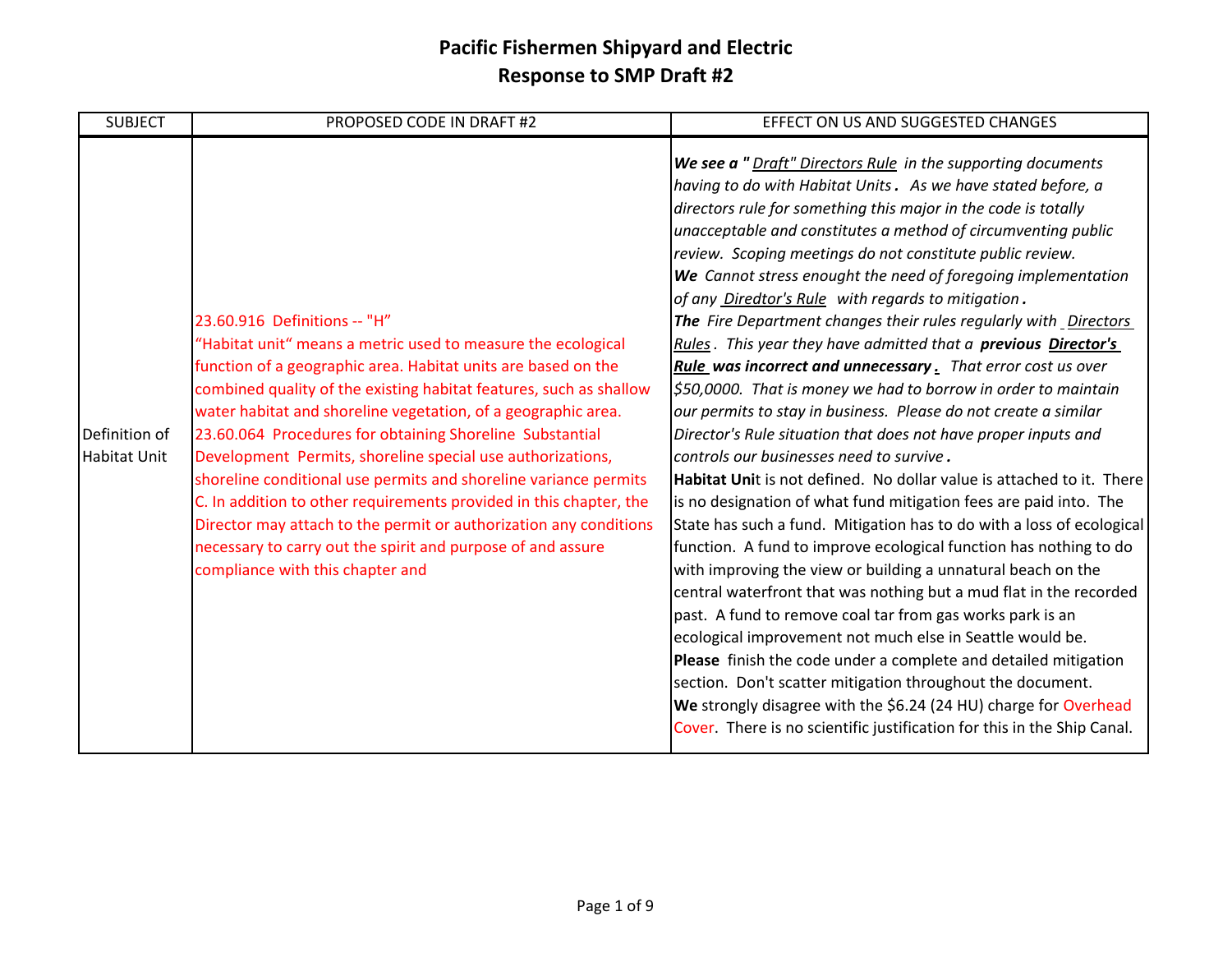| <b>SUBJECT</b>                       | PROPOSED CODE IN DRAFT #2                                                                                                                                                                                                                                                                                                                                                                                                                                                                                                                                                                                                                                                                                                                        | EFFECT ON US AND SUGGESTED CHANGES                                                                                                                                                                                                                                                                                                                                                                                                                                                                                                                                                                                                                                                                                                                                                                                                                                                                                                                                                                                                                                                                                                                                                                                                                                                                                                                                                                                                                                                                                                                                                                                                                                                                                                                                 |
|--------------------------------------|--------------------------------------------------------------------------------------------------------------------------------------------------------------------------------------------------------------------------------------------------------------------------------------------------------------------------------------------------------------------------------------------------------------------------------------------------------------------------------------------------------------------------------------------------------------------------------------------------------------------------------------------------------------------------------------------------------------------------------------------------|--------------------------------------------------------------------------------------------------------------------------------------------------------------------------------------------------------------------------------------------------------------------------------------------------------------------------------------------------------------------------------------------------------------------------------------------------------------------------------------------------------------------------------------------------------------------------------------------------------------------------------------------------------------------------------------------------------------------------------------------------------------------------------------------------------------------------------------------------------------------------------------------------------------------------------------------------------------------------------------------------------------------------------------------------------------------------------------------------------------------------------------------------------------------------------------------------------------------------------------------------------------------------------------------------------------------------------------------------------------------------------------------------------------------------------------------------------------------------------------------------------------------------------------------------------------------------------------------------------------------------------------------------------------------------------------------------------------------------------------------------------------------|
| Definition of<br><b>Habitat Unit</b> | 23.60.916 Definitions -- "H"<br>"Habitat unit" means a metric used to measure the ecological<br>function of a geographic area. Habitat units are based on the<br>combined quality of the existing habitat features, such as shallow<br>water habitat and shoreline vegetation, of a geographic area.<br>23.60.064 Procedures for obtaining Shoreline Substantial<br>Development Permits, shoreline special use authorizations,<br>shoreline conditional use permits and shoreline variance permits<br>C. In addition to other requirements provided in this chapter, the<br>Director may attach to the permit or authorization any conditions<br>necessary to carry out the spirit and purpose of and assure<br>compliance with this chapter and | We see a "Draft" Directors Rule in the supporting documents<br>having to do with Habitat Units. As we have stated before, a<br>directors rule for something this major in the code is totally<br>unacceptable and constitutes a method of circumventing public<br>review. Scoping meetings do not constitute public review.<br>We Cannot stress enought the need of foregoing implementation<br>of any Diredtor's Rule with regards to mitigation.<br>The Fire Department changes their rules regularly with Directors<br>Rules. This year they have admitted that a previous Director's<br>Rule was incorrect and unnecessary. That error cost us over<br>$\frac{1}{5}50,0000$ . That is money we had to borrow in order to maintain<br>our permits to stay in business. Please do not create a similar<br>Director's Rule situation that does not have proper inputs and<br>controls our businesses need to survive.<br>Habitat Unit is not defined. No dollar value is attached to it. There<br>is no designation of what fund mitigation fees are paid into. The<br>State has such a fund. Mitigation has to do with a loss of ecological<br>function. A fund to improve ecological function has nothing to do<br>with improving the view or building a unnatural beach on the<br>central waterfront that was nothing but a mud flat in the recorded<br>past. A fund to remove coal tar from gas works park is an<br>ecological improvement not much else in Seattle would be.<br>Please finish the code under a complete and detailed mitigation<br>section. Don't scatter mitigation throughout the document.<br>We strongly disagree with the \$6.24 (24 HU) charge for Overhead<br>Cover. There is no scientific justification for this in the Ship Canal. |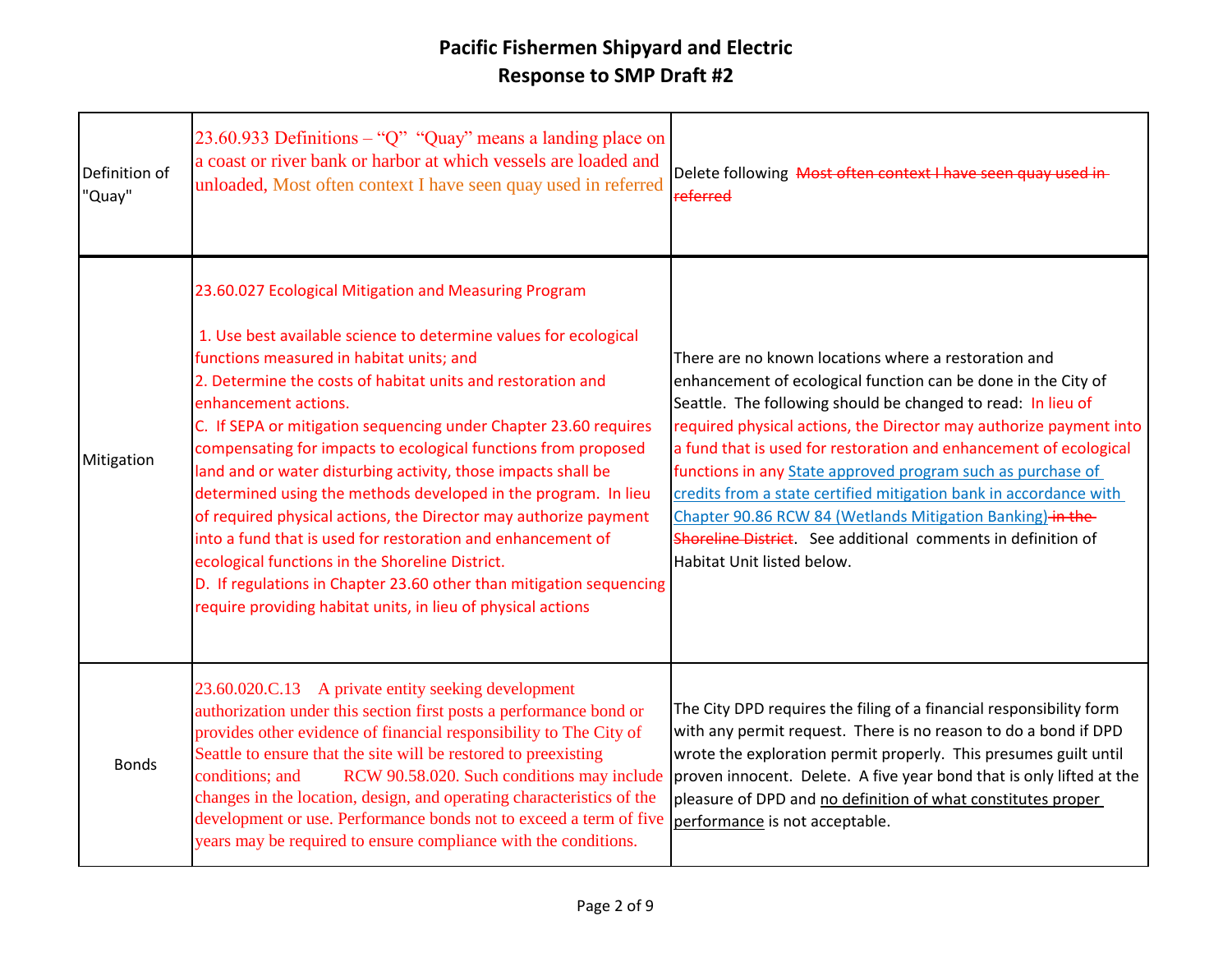| Definition of<br>"Quay" | 23.60.933 Definitions – "Q" "Quay" means a landing place on<br>a coast or river bank or harbor at which vessels are loaded and<br>unloaded, Most often context I have seen quay used in referred                                                                                                                                                                                                                                                                                                                                                                                                                                                                                                                                                                                                                                                                   | Delete following Most often context I have seen quay used in-<br>referred                                                                                                                                                                                                                                                                                                                                                                                                                                                                                                                                                        |
|-------------------------|--------------------------------------------------------------------------------------------------------------------------------------------------------------------------------------------------------------------------------------------------------------------------------------------------------------------------------------------------------------------------------------------------------------------------------------------------------------------------------------------------------------------------------------------------------------------------------------------------------------------------------------------------------------------------------------------------------------------------------------------------------------------------------------------------------------------------------------------------------------------|----------------------------------------------------------------------------------------------------------------------------------------------------------------------------------------------------------------------------------------------------------------------------------------------------------------------------------------------------------------------------------------------------------------------------------------------------------------------------------------------------------------------------------------------------------------------------------------------------------------------------------|
| Mitigation              | 23.60.027 Ecological Mitigation and Measuring Program<br>1. Use best available science to determine values for ecological<br>functions measured in habitat units; and<br>2. Determine the costs of habitat units and restoration and<br>enhancement actions.<br>C. If SEPA or mitigation sequencing under Chapter 23.60 requires<br>compensating for impacts to ecological functions from proposed<br>land and or water disturbing activity, those impacts shall be<br>determined using the methods developed in the program. In lieu<br>of required physical actions, the Director may authorize payment<br>into a fund that is used for restoration and enhancement of<br>ecological functions in the Shoreline District.<br>D. If regulations in Chapter 23.60 other than mitigation sequencing<br>require providing habitat units, in lieu of physical actions | There are no known locations where a restoration and<br>enhancement of ecological function can be done in the City of<br>Seattle. The following should be changed to read: In lieu of<br>required physical actions, the Director may authorize payment into<br>a fund that is used for restoration and enhancement of ecological<br>functions in any State approved program such as purchase of<br>credits from a state certified mitigation bank in accordance with<br>Chapter 90.86 RCW 84 (Wetlands Mitigation Banking) in the-<br>Shoreline District. See additional comments in definition of<br>Habitat Unit listed below. |
| <b>Bonds</b>            | 23.60.020.C.13 A private entity seeking development<br>authorization under this section first posts a performance bond or<br>provides other evidence of financial responsibility to The City of<br>Seattle to ensure that the site will be restored to preexisting<br>RCW 90.58.020. Such conditions may include<br>conditions; and<br>changes in the location, design, and operating characteristics of the<br>development or use. Performance bonds not to exceed a term of five<br>years may be required to ensure compliance with the conditions.                                                                                                                                                                                                                                                                                                              | The City DPD requires the filing of a financial responsibility form<br>with any permit request. There is no reason to do a bond if DPD<br>wrote the exploration permit properly. This presumes guilt until<br>proven innocent. Delete. A five year bond that is only lifted at the<br>pleasure of DPD and no definition of what constitutes proper<br>performance is not acceptable.                                                                                                                                                                                                                                             |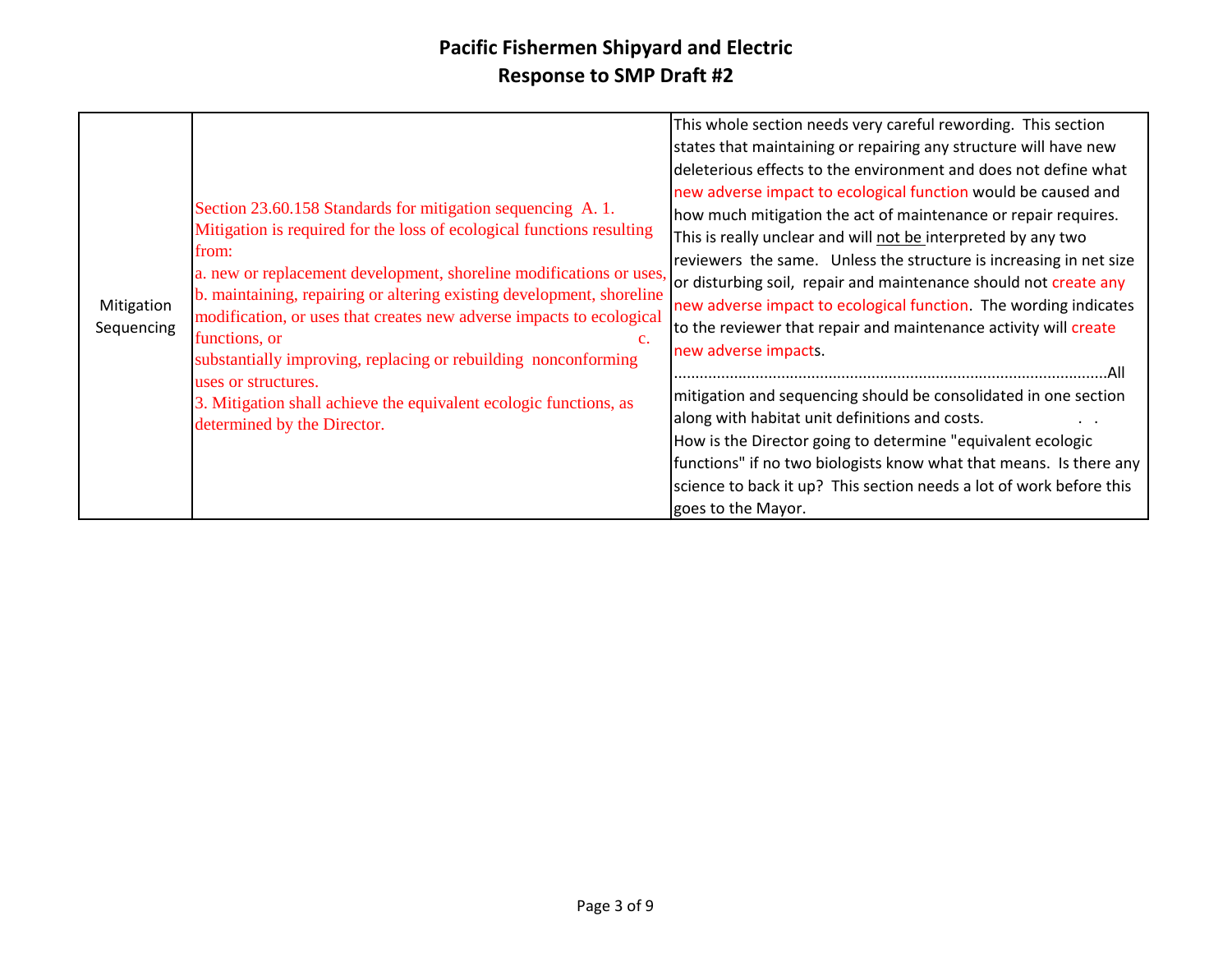| Mitigation<br>Sequencing | Section 23.60.158 Standards for mitigation sequencing A. 1.<br>Mitigation is required for the loss of ecological functions resulting<br>from:<br>a. new or replacement development, shoreline modifications or uses,<br>b. maintaining, repairing or altering existing development, shoreline<br>modification, or uses that creates new adverse impacts to ecological<br>functions, or<br>$\mathbf{c}$ .<br>substantially improving, replacing or rebuilding nonconforming<br>uses or structures.<br>3. Mitigation shall achieve the equivalent ecologic functions, as<br>determined by the Director. | This whole section needs very careful rewording. This section<br>states that maintaining or repairing any structure will have new<br>deleterious effects to the environment and does not define what<br>new adverse impact to ecological function would be caused and<br>how much mitigation the act of maintenance or repair requires.<br>This is really unclear and will not be interpreted by any two<br>reviewers the same. Unless the structure is increasing in net size<br>or disturbing soil, repair and maintenance should not create any<br>new adverse impact to ecological function. The wording indicates<br>to the reviewer that repair and maintenance activity will create<br>new adverse impacts.<br>mitigation and sequencing should be consolidated in one section<br>along with habitat unit definitions and costs.<br>How is the Director going to determine "equivalent ecologic<br>functions" if no two biologists know what that means. Is there any<br>science to back it up? This section needs a lot of work before this<br>goes to the Mayor. |
|--------------------------|-------------------------------------------------------------------------------------------------------------------------------------------------------------------------------------------------------------------------------------------------------------------------------------------------------------------------------------------------------------------------------------------------------------------------------------------------------------------------------------------------------------------------------------------------------------------------------------------------------|---------------------------------------------------------------------------------------------------------------------------------------------------------------------------------------------------------------------------------------------------------------------------------------------------------------------------------------------------------------------------------------------------------------------------------------------------------------------------------------------------------------------------------------------------------------------------------------------------------------------------------------------------------------------------------------------------------------------------------------------------------------------------------------------------------------------------------------------------------------------------------------------------------------------------------------------------------------------------------------------------------------------------------------------------------------------------|
|--------------------------|-------------------------------------------------------------------------------------------------------------------------------------------------------------------------------------------------------------------------------------------------------------------------------------------------------------------------------------------------------------------------------------------------------------------------------------------------------------------------------------------------------------------------------------------------------------------------------------------------------|---------------------------------------------------------------------------------------------------------------------------------------------------------------------------------------------------------------------------------------------------------------------------------------------------------------------------------------------------------------------------------------------------------------------------------------------------------------------------------------------------------------------------------------------------------------------------------------------------------------------------------------------------------------------------------------------------------------------------------------------------------------------------------------------------------------------------------------------------------------------------------------------------------------------------------------------------------------------------------------------------------------------------------------------------------------------------|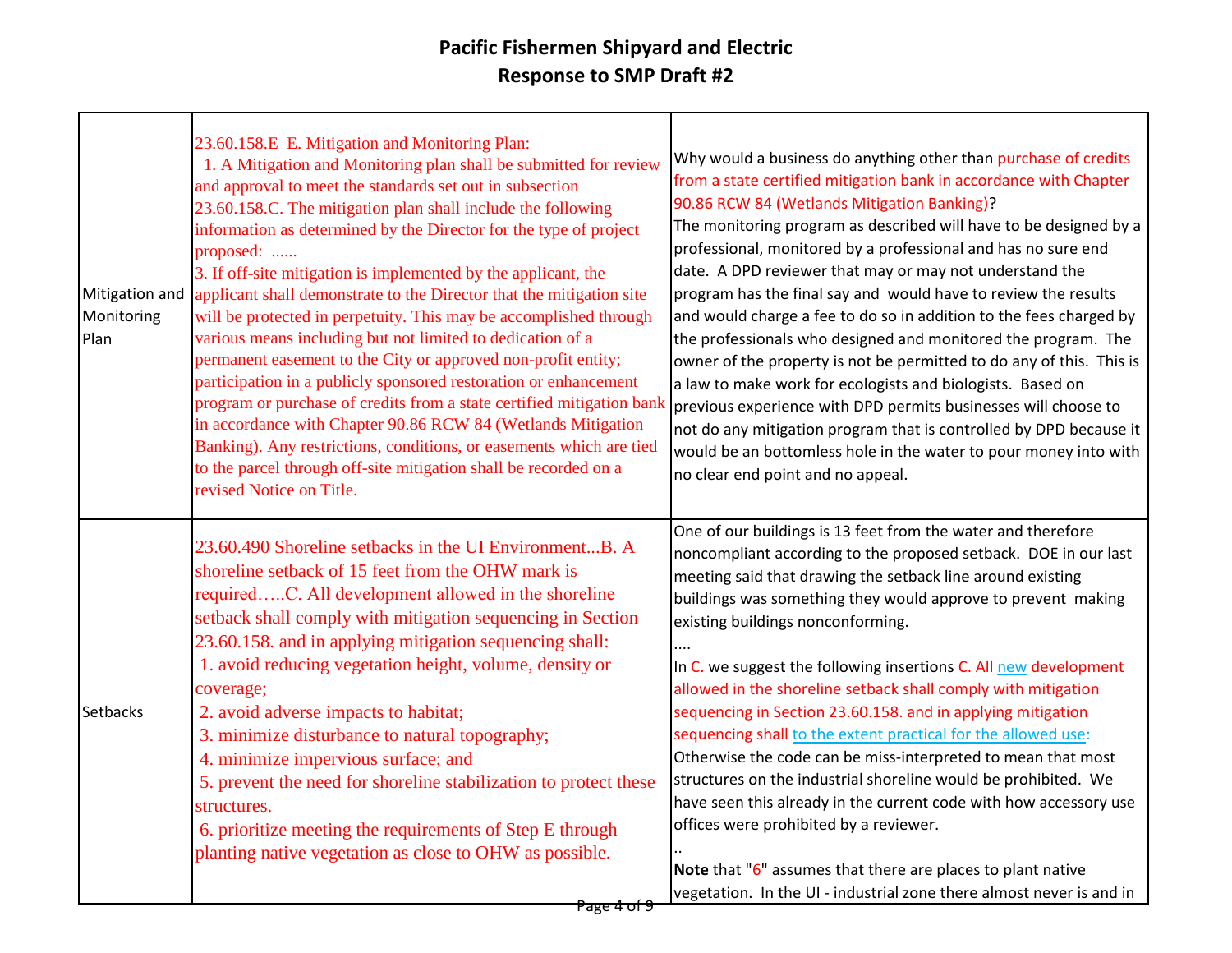| Mitigation and<br>Monitoring<br>Plan | 23.60.158.E E. Mitigation and Monitoring Plan:<br>1. A Mitigation and Monitoring plan shall be submitted for review<br>and approval to meet the standards set out in subsection<br>23.60.158.C. The mitigation plan shall include the following<br>information as determined by the Director for the type of project<br>proposed:<br>3. If off-site mitigation is implemented by the applicant, the<br>applicant shall demonstrate to the Director that the mitigation site<br>will be protected in perpetuity. This may be accomplished through<br>various means including but not limited to dedication of a<br>permanent easement to the City or approved non-profit entity;<br>participation in a publicly sponsored restoration or enhancement<br>program or purchase of credits from a state certified mitigation bank<br>in accordance with Chapter 90.86 RCW 84 (Wetlands Mitigation<br>Banking). Any restrictions, conditions, or easements which are tied<br>to the parcel through off-site mitigation shall be recorded on a<br>revised Notice on Title. | Why would a business do anything other than purchase of credits<br>from a state certified mitigation bank in accordance with Chapter<br>90.86 RCW 84 (Wetlands Mitigation Banking)?<br>The monitoring program as described will have to be designed by a<br>professional, monitored by a professional and has no sure end<br>date. A DPD reviewer that may or may not understand the<br>program has the final say and would have to review the results<br>and would charge a fee to do so in addition to the fees charged by<br>the professionals who designed and monitored the program. The<br>owner of the property is not be permitted to do any of this. This is<br>a law to make work for ecologists and biologists. Based on<br>previous experience with DPD permits businesses will choose to<br>not do any mitigation program that is controlled by DPD because it<br>would be an bottomless hole in the water to pour money into with<br>no clear end point and no appeal. |
|--------------------------------------|---------------------------------------------------------------------------------------------------------------------------------------------------------------------------------------------------------------------------------------------------------------------------------------------------------------------------------------------------------------------------------------------------------------------------------------------------------------------------------------------------------------------------------------------------------------------------------------------------------------------------------------------------------------------------------------------------------------------------------------------------------------------------------------------------------------------------------------------------------------------------------------------------------------------------------------------------------------------------------------------------------------------------------------------------------------------|--------------------------------------------------------------------------------------------------------------------------------------------------------------------------------------------------------------------------------------------------------------------------------------------------------------------------------------------------------------------------------------------------------------------------------------------------------------------------------------------------------------------------------------------------------------------------------------------------------------------------------------------------------------------------------------------------------------------------------------------------------------------------------------------------------------------------------------------------------------------------------------------------------------------------------------------------------------------------------------|
| Setbacks                             | 23.60.490 Shoreline setbacks in the UI EnvironmentB. A<br>shoreline setback of 15 feet from the OHW mark is<br>requiredC. All development allowed in the shoreline<br>setback shall comply with mitigation sequencing in Section<br>23.60.158. and in applying mitigation sequencing shall:<br>1. avoid reducing vegetation height, volume, density or<br>coverage;<br>2. avoid adverse impacts to habitat;<br>3. minimize disturbance to natural topography;<br>4. minimize impervious surface; and<br>5. prevent the need for shoreline stabilization to protect these<br>structures.<br>6. prioritize meeting the requirements of Step E through<br>planting native vegetation as close to OHW as possible.                                                                                                                                                                                                                                                                                                                                                      | One of our buildings is 13 feet from the water and therefore<br>noncompliant according to the proposed setback. DOE in our last<br>meeting said that drawing the setback line around existing<br>buildings was something they would approve to prevent making<br>existing buildings nonconforming.<br>.<br>In C. we suggest the following insertions C. All new development<br>allowed in the shoreline setback shall comply with mitigation<br>sequencing in Section 23.60.158. and in applying mitigation<br>sequencing shall to the extent practical for the allowed use:<br>Otherwise the code can be miss-interpreted to mean that most<br>structures on the industrial shoreline would be prohibited. We<br>have seen this already in the current code with how accessory use<br>offices were prohibited by a reviewer.<br>Note that "6" assumes that there are places to plant native<br>vegetation. In the UI - industrial zone there almost never is and in                 |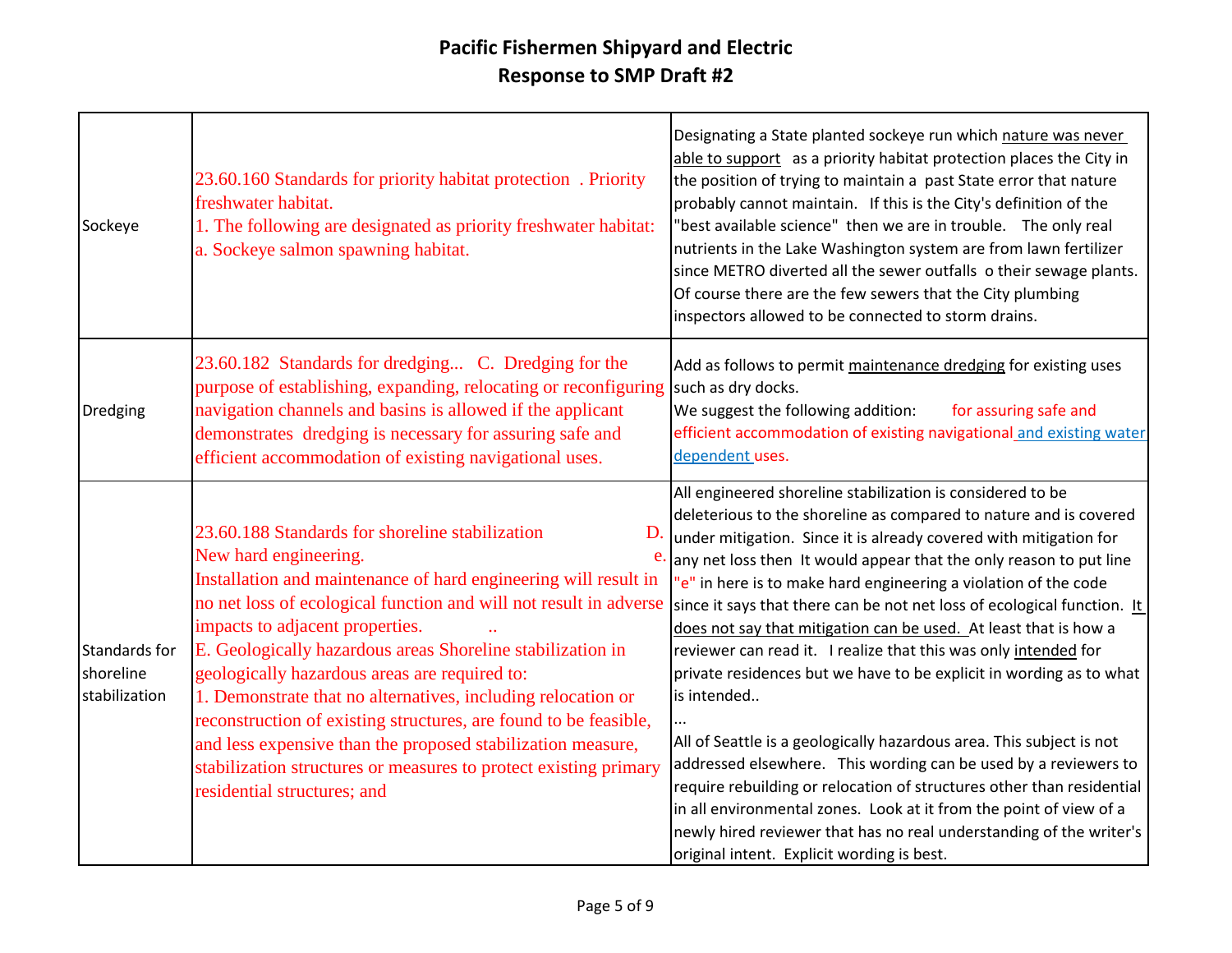| Sockeye                                     | 23.60.160 Standards for priority habitat protection. Priority<br>freshwater habitat.<br>1. The following are designated as priority freshwater habitat:<br>a. Sockeye salmon spawning habitat.                                                                                                                                                                                                                                                                                                                                                                                                                                                                                       | Designating a State planted sockeye run which nature was never<br>able to support as a priority habitat protection places the City in<br>the position of trying to maintain a past State error that nature<br>probably cannot maintain. If this is the City's definition of the<br>"best available science" then we are in trouble. The only real<br>nutrients in the Lake Washington system are from lawn fertilizer<br>since METRO diverted all the sewer outfalls o their sewage plants.<br>Of course there are the few sewers that the City plumbing<br>inspectors allowed to be connected to storm drains.                                                                                                                                                                                                                                                                                                                                                                                                                                                      |
|---------------------------------------------|--------------------------------------------------------------------------------------------------------------------------------------------------------------------------------------------------------------------------------------------------------------------------------------------------------------------------------------------------------------------------------------------------------------------------------------------------------------------------------------------------------------------------------------------------------------------------------------------------------------------------------------------------------------------------------------|----------------------------------------------------------------------------------------------------------------------------------------------------------------------------------------------------------------------------------------------------------------------------------------------------------------------------------------------------------------------------------------------------------------------------------------------------------------------------------------------------------------------------------------------------------------------------------------------------------------------------------------------------------------------------------------------------------------------------------------------------------------------------------------------------------------------------------------------------------------------------------------------------------------------------------------------------------------------------------------------------------------------------------------------------------------------|
| Dredging                                    | 23.60.182 Standards for dredging C. Dredging for the<br>purpose of establishing, expanding, relocating or reconfiguring<br>navigation channels and basins is allowed if the applicant<br>demonstrates dredging is necessary for assuring safe and<br>efficient accommodation of existing navigational uses.                                                                                                                                                                                                                                                                                                                                                                          | Add as follows to permit maintenance dredging for existing uses<br>such as dry docks.<br>We suggest the following addition:<br>for assuring safe and<br>efficient accommodation of existing navigational and existing water<br>dependent uses.                                                                                                                                                                                                                                                                                                                                                                                                                                                                                                                                                                                                                                                                                                                                                                                                                       |
| Standards for<br>shoreline<br>stabilization | 23.60.188 Standards for shoreline stabilization<br>D.<br>New hard engineering.<br>e.<br>Installation and maintenance of hard engineering will result in<br>no net loss of ecological function and will not result in adverse<br>impacts to adjacent properties.<br>E. Geologically hazardous areas Shoreline stabilization in<br>geologically hazardous areas are required to:<br>1. Demonstrate that no alternatives, including relocation or<br>reconstruction of existing structures, are found to be feasible,<br>and less expensive than the proposed stabilization measure,<br>stabilization structures or measures to protect existing primary<br>residential structures; and | All engineered shoreline stabilization is considered to be<br>deleterious to the shoreline as compared to nature and is covered<br>under mitigation. Since it is already covered with mitigation for<br>any net loss then It would appear that the only reason to put line<br>"e" in here is to make hard engineering a violation of the code<br>since it says that there can be not net loss of ecological function. It<br>does not say that mitigation can be used. At least that is how a<br>reviewer can read it. I realize that this was only intended for<br>private residences but we have to be explicit in wording as to what<br>is intended<br>All of Seattle is a geologically hazardous area. This subject is not<br>addressed elsewhere. This wording can be used by a reviewers to<br>require rebuilding or relocation of structures other than residential<br>in all environmental zones. Look at it from the point of view of a<br>newly hired reviewer that has no real understanding of the writer's<br>original intent. Explicit wording is best. |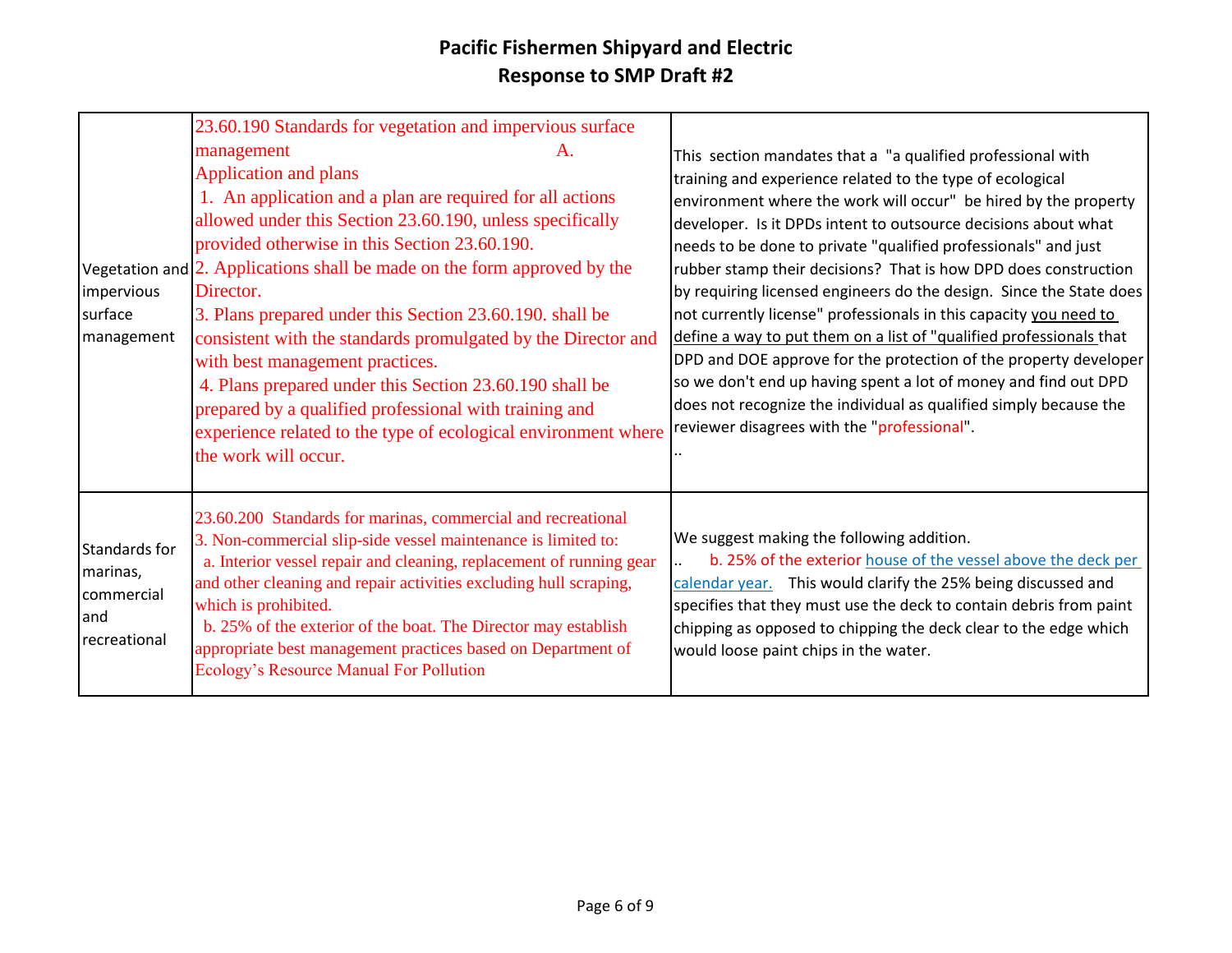|                                                                 | 23.60.190 Standards for vegetation and impervious surface                                                                                                                                                                                                                                                                                                                                                                                                                                                                                                                                                                                                                                              |                                                                                                                                                                                                                                                                                                                                                                                                                                                                                                                                                                                                                                                                                                                                                                                                                                                                                  |
|-----------------------------------------------------------------|--------------------------------------------------------------------------------------------------------------------------------------------------------------------------------------------------------------------------------------------------------------------------------------------------------------------------------------------------------------------------------------------------------------------------------------------------------------------------------------------------------------------------------------------------------------------------------------------------------------------------------------------------------------------------------------------------------|----------------------------------------------------------------------------------------------------------------------------------------------------------------------------------------------------------------------------------------------------------------------------------------------------------------------------------------------------------------------------------------------------------------------------------------------------------------------------------------------------------------------------------------------------------------------------------------------------------------------------------------------------------------------------------------------------------------------------------------------------------------------------------------------------------------------------------------------------------------------------------|
| impervious<br>surface<br>management                             | management<br>A.<br>Application and plans<br>1. An application and a plan are required for all actions<br>allowed under this Section 23.60.190, unless specifically<br>provided otherwise in this Section 23.60.190.<br>Vegetation and $\sqrt{2}$ . Applications shall be made on the form approved by the<br>Director.<br>3. Plans prepared under this Section 23.60.190. shall be<br>consistent with the standards promulgated by the Director and<br>with best management practices.<br>4. Plans prepared under this Section 23.60.190 shall be<br>prepared by a qualified professional with training and<br>experience related to the type of ecological environment where<br>the work will occur. | This section mandates that a "a qualified professional with<br>training and experience related to the type of ecological<br>environment where the work will occur" be hired by the property<br>developer. Is it DPDs intent to outsource decisions about what<br>needs to be done to private "qualified professionals" and just<br>rubber stamp their decisions? That is how DPD does construction<br>by requiring licensed engineers do the design. Since the State does<br>not currently license" professionals in this capacity you need to<br>define a way to put them on a list of "qualified professionals that<br>DPD and DOE approve for the protection of the property developer<br>so we don't end up having spent a lot of money and find out DPD<br>does not recognize the individual as qualified simply because the<br>reviewer disagrees with the "professional". |
| Standards for<br>marinas,<br>commercial<br>land<br>recreational | 23.60.200 Standards for marinas, commercial and recreational<br>3. Non-commercial slip-side vessel maintenance is limited to:<br>a. Interior vessel repair and cleaning, replacement of running gear<br>and other cleaning and repair activities excluding hull scraping,<br>which is prohibited.<br>b. 25% of the exterior of the boat. The Director may establish<br>appropriate best management practices based on Department of<br>Ecology's Resource Manual For Pollution                                                                                                                                                                                                                         | We suggest making the following addition.<br>b. 25% of the exterior house of the vessel above the deck per<br>calendar year. This would clarify the 25% being discussed and<br>specifies that they must use the deck to contain debris from paint<br>chipping as opposed to chipping the deck clear to the edge which<br>would loose paint chips in the water.                                                                                                                                                                                                                                                                                                                                                                                                                                                                                                                   |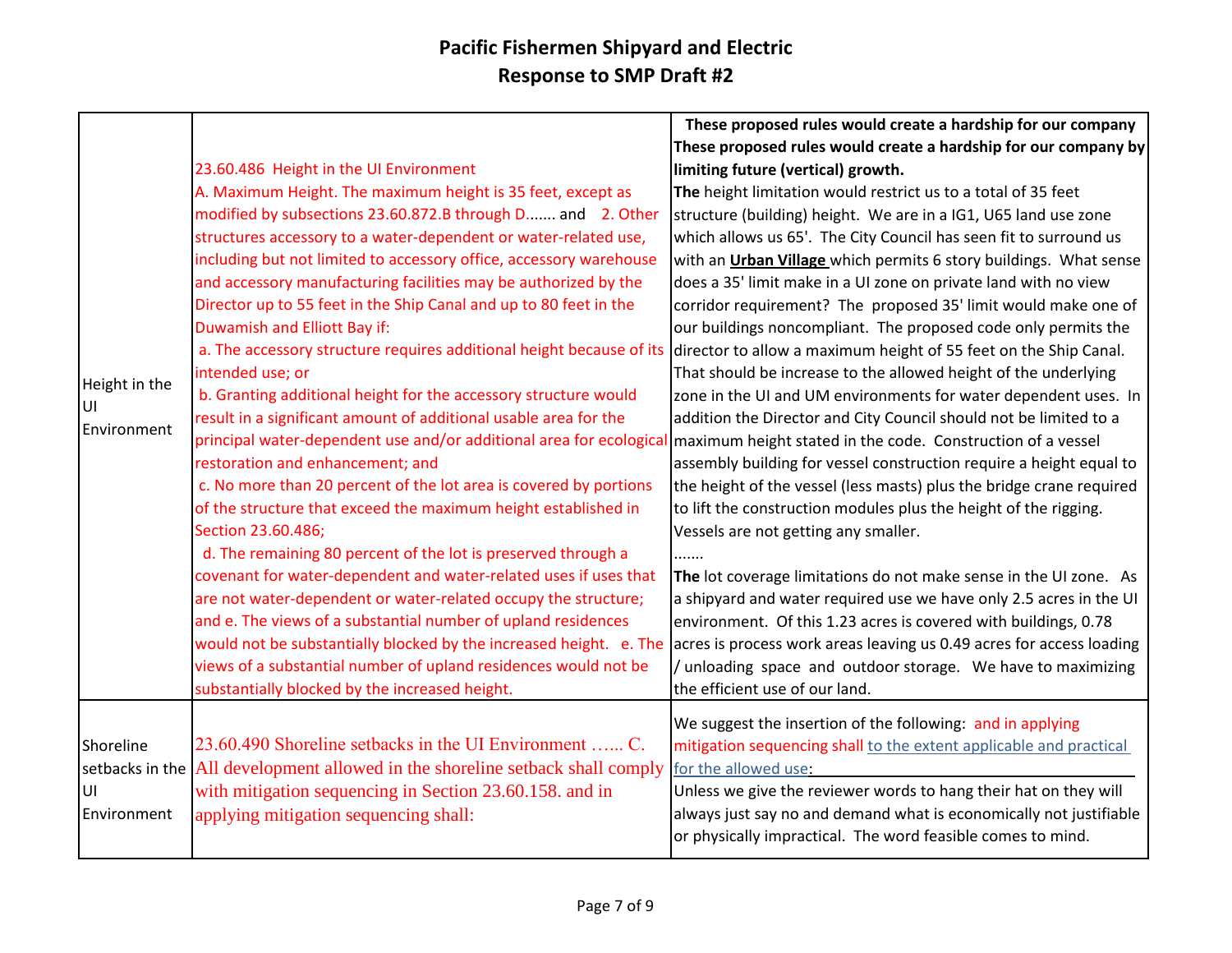|               |                                                                                                                                 | These proposed rules would create a hardship for our company         |
|---------------|---------------------------------------------------------------------------------------------------------------------------------|----------------------------------------------------------------------|
|               |                                                                                                                                 | These proposed rules would create a hardship for our company by      |
|               | 23.60.486 Height in the UI Environment                                                                                          | limiting future (vertical) growth.                                   |
|               | A. Maximum Height. The maximum height is 35 feet, except as                                                                     | The height limitation would restrict us to a total of 35 feet        |
|               | modified by subsections 23.60.872.B through D and 2. Other                                                                      | structure (building) height. We are in a IG1, U65 land use zone      |
|               | structures accessory to a water-dependent or water-related use,                                                                 | which allows us 65'. The City Council has seen fit to surround us    |
|               | including but not limited to accessory office, accessory warehouse                                                              | with an Urban Village which permits 6 story buildings. What sense    |
|               | and accessory manufacturing facilities may be authorized by the                                                                 | does a 35' limit make in a UI zone on private land with no view      |
|               | Director up to 55 feet in the Ship Canal and up to 80 feet in the                                                               | corridor requirement? The proposed 35' limit would make one of       |
|               | Duwamish and Elliott Bay if:                                                                                                    | our buildings noncompliant. The proposed code only permits the       |
|               | a. The accessory structure requires additional height because of its                                                            | director to allow a maximum height of 55 feet on the Ship Canal.     |
| Height in the | intended use; or                                                                                                                | That should be increase to the allowed height of the underlying      |
| UI            | b. Granting additional height for the accessory structure would                                                                 | zone in the UI and UM environments for water dependent uses. In      |
| Environment   | result in a significant amount of additional usable area for the                                                                | addition the Director and City Council should not be limited to a    |
|               | principal water-dependent use and/or additional area for ecological maximum height stated in the code. Construction of a vessel |                                                                      |
|               | restoration and enhancement; and                                                                                                | assembly building for vessel construction require a height equal to  |
|               | c. No more than 20 percent of the lot area is covered by portions                                                               | the height of the vessel (less masts) plus the bridge crane required |
|               | of the structure that exceed the maximum height established in                                                                  | to lift the construction modules plus the height of the rigging.     |
|               | Section 23.60.486;                                                                                                              | Vessels are not getting any smaller.                                 |
|               | d. The remaining 80 percent of the lot is preserved through a                                                                   |                                                                      |
|               | covenant for water-dependent and water-related uses if uses that                                                                | The lot coverage limitations do not make sense in the UI zone. As    |
|               | are not water-dependent or water-related occupy the structure;                                                                  | a shipyard and water required use we have only 2.5 acres in the UI   |
|               | and e. The views of a substantial number of upland residences                                                                   | environment. Of this 1.23 acres is covered with buildings, 0.78      |
|               | would not be substantially blocked by the increased height. e. The                                                              | acres is process work areas leaving us 0.49 acres for access loading |
|               | views of a substantial number of upland residences would not be                                                                 | / unloading space and outdoor storage. We have to maximizing         |
|               | substantially blocked by the increased height.                                                                                  | the efficient use of our land.                                       |
|               |                                                                                                                                 | We suggest the insertion of the following: and in applying           |
| Shoreline     | 23.60.490 Shoreline setbacks in the UI Environment  C.                                                                          | mitigation sequencing shall to the extent applicable and practical   |
|               | setbacks in the $\vert$ All development allowed in the shoreline setback shall comply                                           | for the allowed use:                                                 |
| lυι           | with mitigation sequencing in Section 23.60.158, and in                                                                         | Unless we give the reviewer words to hang their hat on they will     |
| Environment   | applying mitigation sequencing shall:                                                                                           | always just say no and demand what is economically not justifiable   |
|               |                                                                                                                                 | or physically impractical. The word feasible comes to mind.          |
|               |                                                                                                                                 |                                                                      |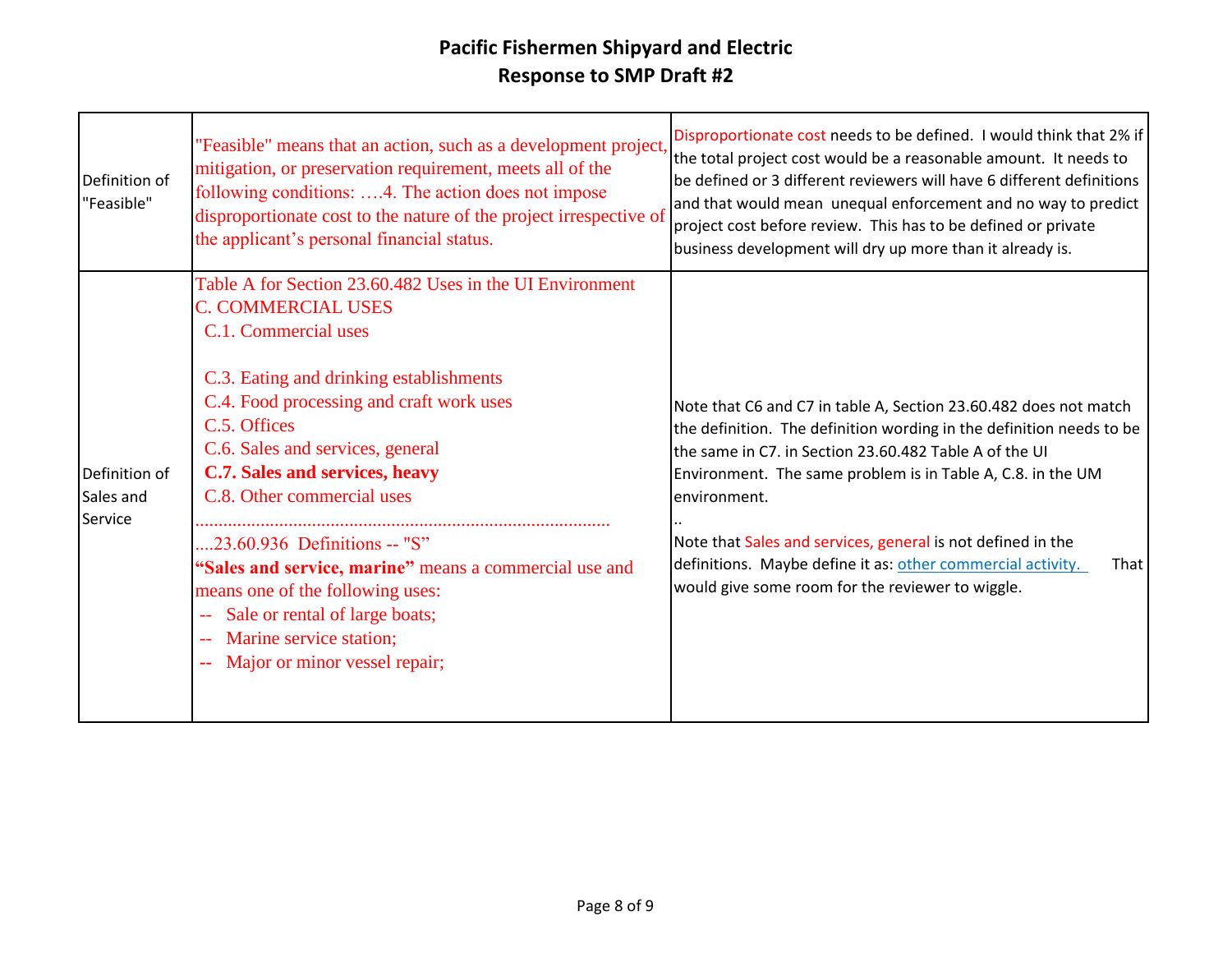| Definition of<br>"Feasible" | "Feasible" means that an action, such as a development project,<br>mitigation, or preservation requirement, meets all of the<br>following conditions: 4. The action does not impose<br>disproportionate cost to the nature of the project irrespective of<br>the applicant's personal financial status. | Disproportionate cost needs to be defined. I would think that 2% if<br>the total project cost would be a reasonable amount. It needs to<br>be defined or 3 different reviewers will have 6 different definitions<br>and that would mean unequal enforcement and no way to predict<br>project cost before review. This has to be defined or private<br>business development will dry up more than it already is. |
|-----------------------------|---------------------------------------------------------------------------------------------------------------------------------------------------------------------------------------------------------------------------------------------------------------------------------------------------------|-----------------------------------------------------------------------------------------------------------------------------------------------------------------------------------------------------------------------------------------------------------------------------------------------------------------------------------------------------------------------------------------------------------------|
| Definition of               | Table A for Section 23.60.482 Uses in the UI Environment<br><b>C. COMMERCIAL USES</b><br>C.1. Commercial uses<br>C.3. Eating and drinking establishments<br>C.4. Food processing and craft work uses<br>C.5. Offices<br>C.6. Sales and services, general<br>C.7. Sales and services, heavy              | Note that C6 and C7 in table A, Section 23.60.482 does not match<br>the definition. The definition wording in the definition needs to be<br>the same in C7. in Section 23.60.482 Table A of the UI<br>Environment. The same problem is in Table A, C.8. in the UM                                                                                                                                               |
| Sales and<br>Service        | C.8. Other commercial uses<br>23.60.936 Definitions -- "S"<br>"Sales and service, marine" means a commercial use and<br>means one of the following uses:<br>Sale or rental of large boats;<br>-- Marine service station;<br>Major or minor vessel repair;                                               | environment.<br>Note that Sales and services, general is not defined in the<br>definitions. Maybe define it as: other commercial activity.<br>That  <br>would give some room for the reviewer to wiggle.                                                                                                                                                                                                        |